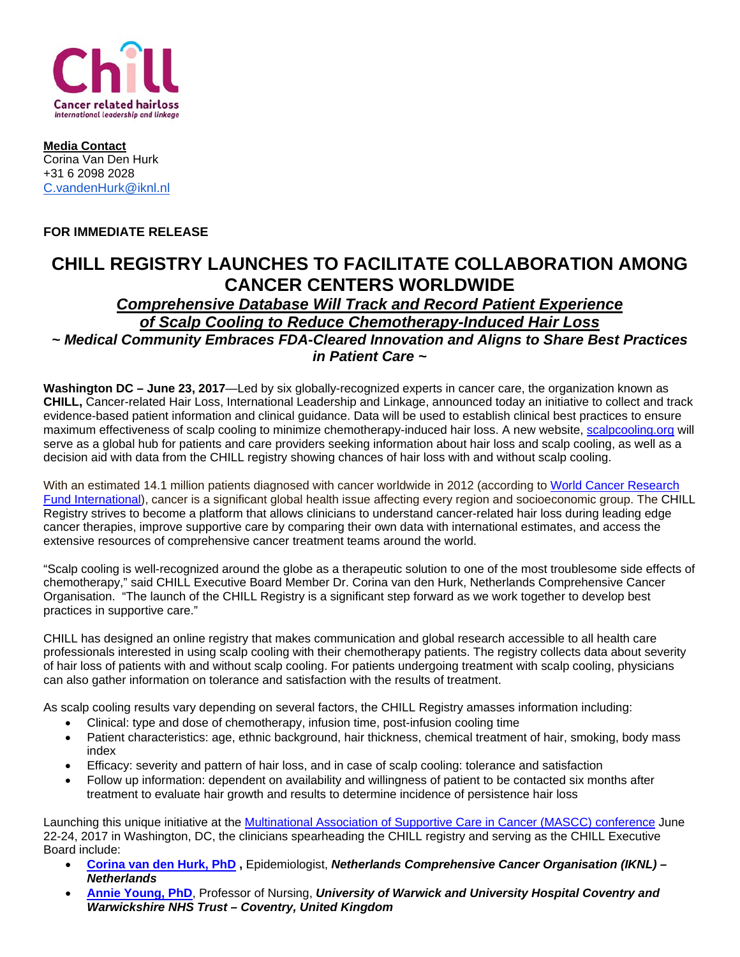

**Media Contact** Corina Van Den Hurk +31 6 2098 2028 [C.vandenHurk@iknl.nl](mailto:C.vandenHurk@iknl.nl)

## **FOR IMMEDIATE RELEASE**

## **CHILL REGISTRY LAUNCHES TO FACILITATE COLLABORATION AMONG CANCER CENTERS WORLDWIDE**

## *Comprehensive Database Will Track and Record Patient Experience of Scalp Cooling to Reduce Chemotherapy-Induced Hair Loss ~ Medical Community Embraces FDA-Cleared Innovation and Aligns to Share Best Practices in Patient Care ~*

**Washington DC – June 23, 2017**—Led by six globally-recognized experts in cancer care, the organization known as **CHILL,** Cancer-related Hair Loss, International Leadership and Linkage, announced today an initiative to collect and track evidence-based patient information and clinical guidance. Data will be used to establish clinical best practices to ensure maximum effectiveness of scalp cooling to minimize chemotherapy-induced hair loss. A new website, [scalpcooling.org](http://www.scalpcooling.org/) will serve as a global hub for patients and care providers seeking information about hair loss and scalp cooling, as well as a decision aid with data from the CHILL registry showing chances of hair loss with and without scalp cooling.

With an estimated 14.1 million patients diagnosed with cancer worldwide in 2012 (according to [World Cancer Research](http://www.wcrf.org/int/cancer-facts-figures/worldwide-data)  [Fund International\)](http://www.wcrf.org/int/cancer-facts-figures/worldwide-data), cancer is a significant global health issue affecting every region and socioeconomic group. The CHILL Registry strives to become a platform that allows clinicians to understand cancer-related hair loss during leading edge cancer therapies, improve supportive care by comparing their own data with international estimates, and access the extensive resources of comprehensive cancer treatment teams around the world.

"Scalp cooling is well-recognized around the globe as a therapeutic solution to one of the most troublesome side effects of chemotherapy," said CHILL Executive Board Member Dr. Corina van den Hurk, Netherlands Comprehensive Cancer Organisation. "The launch of the CHILL Registry is a significant step forward as we work together to develop best practices in supportive care."

CHILL has designed an online registry that makes communication and global research accessible to all health care professionals interested in using scalp cooling with their chemotherapy patients. The registry collects data about severity of hair loss of patients with and without scalp cooling. For patients undergoing treatment with scalp cooling, physicians can also gather information on tolerance and satisfaction with the results of treatment.

As scalp cooling results vary depending on several factors, the CHILL Registry amasses information including:

- Clinical: type and dose of chemotherapy, infusion time, post-infusion cooling time
- Patient characteristics: age, ethnic background, hair thickness, chemical treatment of hair, smoking, body mass index
- Efficacy: severity and pattern of hair loss, and in case of scalp cooling: tolerance and satisfaction
- Follow up information: dependent on availability and willingness of patient to be contacted six months after treatment to evaluate hair growth and results to determine incidence of persistence hair loss

Launching this unique initiative at the [Multinational Association of Supportive Care in Cancer \(MASCC\) conference](http://mascc2017.com/) June 22-24, 2017 in Washington, DC, the clinicians spearheading the CHILL registry and serving as the CHILL Executive Board include:

- **[Corina van den Hurk, PhD](https://www.researchgate.net/profile/Corina_Hurk) ,** Epidemiologist, *Netherlands Comprehensive Cancer Organisation (IKNL) – Netherlands*
- **[Annie Young, PhD](https://www2.warwick.ac.uk/fac/med/staff/young/)**, Professor of Nursing, *University of Warwick and University Hospital Coventry and Warwickshire NHS Trust – Coventry, United Kingdom*